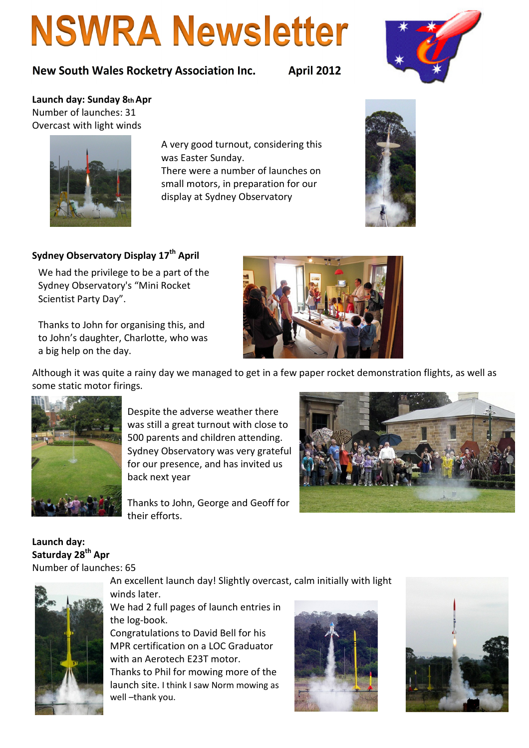# **NSWRA Newsletter**

## New South Wales Rocketry Association Inc. April 2012



Launch day: Sunday 8th Apr Number of launches: 31 Overcast with light winds

> A very good turnout, considering this was Easter Sunday.

> There were a number of launches on small motors, in preparation for our display at Sydney Observatory



## Sydney Observatory Display 17<sup>th</sup> April

We had the privilege to be a part of the Sydney Observatory's "Mini Rocket Scientist Party Day".

Thanks to John for organising this, and to John's daughter, Charlotte, who was a big help on the day.



Although it was quite a rainy day we managed to get in a few paper rocket demonstration flights, as well as some static motor firings.



Despite the adverse weather there was still a great turnout with close to 500 parents and children attending. Sydney Observatory was very grateful for our presence, and has invited us back next year

Thanks to John, George and Geoff for their efforts.

Launch day: Saturday 28<sup>th</sup> Apr Number of launches: 65



An excellent launch day! Slightly overcast, calm initially with light winds later.

We had 2 full pages of launch entries in the log-book.

Congratulations to David Bell for his MPR certification on a LOC Graduator with an Aerotech E23T motor. Thanks to Phil for mowing more of the launch site. I think I saw Norm mowing as well –thank you.